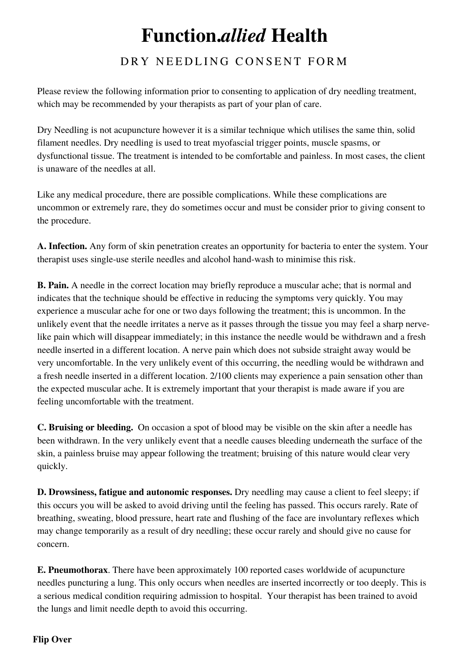## **Function.***allied* **Health**

## DRY NEEDLING CONSENT FORM

Please review the following information prior to consenting to application of dry needling treatment, which may be recommended by your therapists as part of your plan of care.

Dry Needling is not acupuncture however it is a similar technique which utilises the same thin, solid filament needles. Dry needling is used to treat myofascial trigger points, muscle spasms, or dysfunctional tissue. The treatment is intended to be comfortable and painless. In most cases, the client is unaware of the needles at all.

Like any medical procedure, there are possible complications. While these complications are uncommon or extremely rare, they do sometimes occur and must be consider prior to giving consent to the procedure.

**A. Infection.** Any form of skin penetration creates an opportunity for bacteria to enter the system. Your therapist uses single-use sterile needles and alcohol hand-wash to minimise this risk.

**B. Pain.** A needle in the correct location may briefly reproduce a muscular ache; that is normal and indicates that the technique should be effective in reducing the symptoms very quickly. You may experience a muscular ache for one or two days following the treatment; this is uncommon. In the unlikely event that the needle irritates a nerve as it passes through the tissue you may feel a sharp nervelike pain which will disappear immediately; in this instance the needle would be withdrawn and a fresh needle inserted in a different location. A nerve pain which does not subside straight away would be very uncomfortable. In the very unlikely event of this occurring, the needling would be withdrawn and a fresh needle inserted in a different location. 2/100 clients may experience a pain sensation other than the expected muscular ache. It is extremely important that your therapist is made aware if you are feeling uncomfortable with the treatment.

**C. Bruising or bleeding.** On occasion a spot of blood may be visible on the skin after a needle has been withdrawn. In the very unlikely event that a needle causes bleeding underneath the surface of the skin, a painless bruise may appear following the treatment; bruising of this nature would clear very quickly.

**D. Drowsiness, fatigue and autonomic responses.** Dry needling may cause a client to feel sleepy; if this occurs you will be asked to avoid driving until the feeling has passed. This occurs rarely. Rate of breathing, sweating, blood pressure, heart rate and flushing of the face are involuntary reflexes which may change temporarily as a result of dry needling; these occur rarely and should give no cause for concern.

**E. Pneumothorax**. There have been approximately 100 reported cases worldwide of acupuncture needles puncturing a lung. This only occurs when needles are inserted incorrectly or too deeply. This is a serious medical condition requiring admission to hospital. Your therapist has been trained to avoid the lungs and limit needle depth to avoid this occurring.